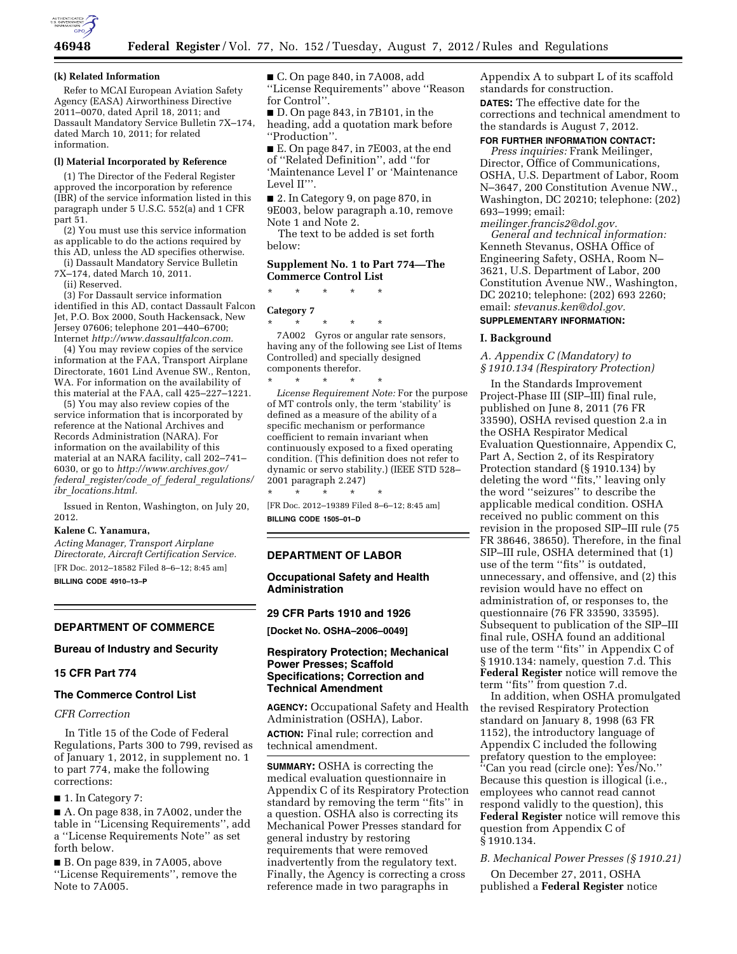

#### **(k) Related Information**

Refer to MCAI European Aviation Safety Agency (EASA) Airworthiness Directive 2011–0070, dated April 18, 2011; and Dassault Mandatory Service Bulletin 7X–174, dated March 10, 2011; for related information.

#### **(l) Material Incorporated by Reference**

(1) The Director of the Federal Register approved the incorporation by reference (IBR) of the service information listed in this paragraph under 5 U.S.C. 552(a) and 1 CFR part 51.

(2) You must use this service information as applicable to do the actions required by this AD, unless the AD specifies otherwise.

(i) Dassault Mandatory Service Bulletin 7X–174, dated March 10, 2011.

(ii) Reserved.

(3) For Dassault service information identified in this AD, contact Dassault Falcon Jet, P.O. Box 2000, South Hackensack, New Jersey 07606; telephone 201–440–6700; Internet *[http://www.dassaultfalcon.com.](http://www.dassaultfalcon.com)* 

(4) You may review copies of the service information at the FAA, Transport Airplane Directorate, 1601 Lind Avenue SW., Renton, WA. For information on the availability of this material at the FAA, call 425–227–1221.

(5) You may also review copies of the service information that is incorporated by reference at the National Archives and Records Administration (NARA). For information on the availability of this material at an NARA facility, call 202–741– 6030, or go to *[http://www.archives.gov/](http://www.archives.gov/federal_register/code_of_federal_regulations/ibr_locations.html)  federal*\_*[register/code](http://www.archives.gov/federal_register/code_of_federal_regulations/ibr_locations.html)*\_*of*\_*federal*\_*regulations/ ibr*\_*[locations.html.](http://www.archives.gov/federal_register/code_of_federal_regulations/ibr_locations.html)* 

Issued in Renton, Washington, on July 20, 2012.

#### **Kalene C. Yanamura,**

*Acting Manager, Transport Airplane Directorate, Aircraft Certification Service.*  [FR Doc. 2012–18582 Filed 8–6–12; 8:45 am] **BILLING CODE 4910–13–P** 

## **DEPARTMENT OF COMMERCE**

## **Bureau of Industry and Security**

#### **15 CFR Part 774**

## **The Commerce Control List**

*CFR Correction* 

In Title 15 of the Code of Federal Regulations, Parts 300 to 799, revised as of January 1, 2012, in supplement no. 1 to part 774, make the following corrections:

■ 1. In Category 7:

■ A. On page 838, in 7A002, under the table in ''Licensing Requirements'', add a ''License Requirements Note'' as set forth below.

■ B. On page 839, in 7A005, above ''License Requirements'', remove the Note to 7A005.

■ C. On page 840, in 7A008, add ''License Requirements'' above ''Reason for Control''.

■ D. On page 843, in 7B101, in the heading, add a quotation mark before ''Production''.

■ E. On page 847, in 7E003, at the end of ''Related Definition'', add ''for 'Maintenance Level I' or 'Maintenance Level II'".

■ 2. In Category 9, on page 870, in 9E003, below paragraph a.10, remove Note 1 and Note 2.

The text to be added is set forth below:

## **Supplement No. 1 to Part 774—The Commerce Control List**

\* \* \* \* \*

## **Category 7**

\* \* \* \* \*

7A002 Gyros or angular rate sensors, having any of the following see List of Items Controlled) and specially designed components therefor.

\* \* \* \* \* *License Requirement Note:* For the purpose of MT controls only, the term 'stability' is defined as a measure of the ability of a specific mechanism or performance coefficient to remain invariant when continuously exposed to a fixed operating condition. (This definition does not refer to dynamic or servo stability.) (IEEE STD 528– 2001 paragraph 2.247)

\* \* \* \* \* [FR Doc. 2012–19389 Filed 8–6–12; 8:45 am] **BILLING CODE 1505–01–D** 

#### **DEPARTMENT OF LABOR**

## **Occupational Safety and Health Administration**

#### **29 CFR Parts 1910 and 1926**

**[Docket No. OSHA–2006–0049]** 

## **Respiratory Protection; Mechanical Power Presses; Scaffold Specifications; Correction and Technical Amendment**

**AGENCY:** Occupational Safety and Health Administration (OSHA), Labor. **ACTION:** Final rule; correction and technical amendment.

**SUMMARY:** OSHA is correcting the medical evaluation questionnaire in Appendix C of its Respiratory Protection standard by removing the term ''fits'' in a question. OSHA also is correcting its Mechanical Power Presses standard for general industry by restoring requirements that were removed inadvertently from the regulatory text. Finally, the Agency is correcting a cross reference made in two paragraphs in

Appendix A to subpart L of its scaffold standards for construction. **DATES:** The effective date for the corrections and technical amendment to the standards is August 7, 2012.

# **FOR FURTHER INFORMATION CONTACT:**

*Press inquiries:* Frank Meilinger, Director, Office of Communications, OSHA, U.S. Department of Labor, Room N–3647, 200 Constitution Avenue NW., Washington, DC 20210; telephone: (202) 693–1999; email:

*[meilinger.francis2@dol.gov.](mailto:meilinger.francis2@dol.gov) General and technical information:*  Kenneth Stevanus, OSHA Office of Engineering Safety, OSHA, Room N– 3621, U.S. Department of Labor, 200 Constitution Avenue NW., Washington, DC 20210; telephone: (202) 693 2260; email: *[stevanus.ken@dol.gov.](mailto:stevanus.ken@dol.gov)* 

## **SUPPLEMENTARY INFORMATION:**

## **I. Background**

## *A. Appendix C (Mandatory) to § 1910.134 (Respiratory Protection)*

In the Standards Improvement Project-Phase III (SIP–III) final rule, published on June 8, 2011 (76 FR 33590), OSHA revised question 2.a in the OSHA Respirator Medical Evaluation Questionnaire, Appendix C, Part A, Section 2, of its Respiratory Protection standard (§ 1910.134) by deleting the word ''fits,'' leaving only the word ''seizures'' to describe the applicable medical condition. OSHA received no public comment on this revision in the proposed SIP–III rule (75 FR 38646, 38650). Therefore, in the final SIP–III rule, OSHA determined that (1) use of the term ''fits'' is outdated, unnecessary, and offensive, and (2) this revision would have no effect on administration of, or responses to, the questionnaire (76 FR 33590, 33595). Subsequent to publication of the SIP–III final rule, OSHA found an additional use of the term ''fits'' in Appendix C of § 1910.134: namely, question 7.d. This **Federal Register** notice will remove the term ''fits'' from question 7.d.

In addition, when OSHA promulgated the revised Respiratory Protection standard on January 8, 1998 (63 FR 1152), the introductory language of Appendix C included the following prefatory question to the employee: ''Can you read (circle one): Yes/No.'' Because this question is illogical (i.e., employees who cannot read cannot respond validly to the question), this **Federal Register** notice will remove this question from Appendix C of § 1910.134.

#### *B. Mechanical Power Presses (§ 1910.21)*

On December 27, 2011, OSHA published a **Federal Register** notice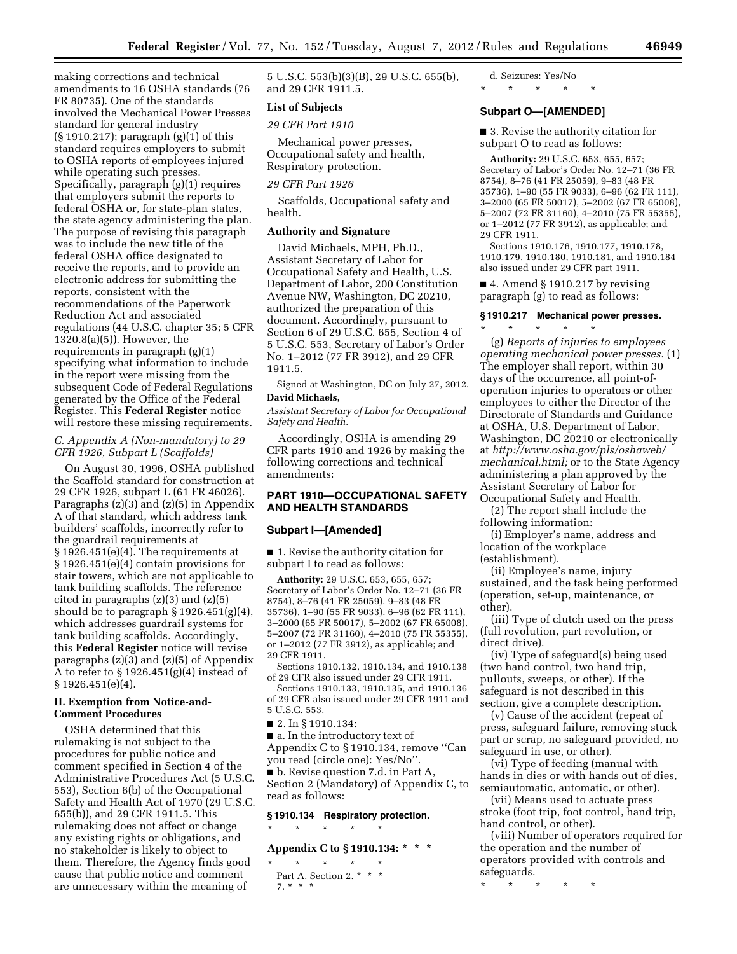making corrections and technical amendments to 16 OSHA standards (76 FR 80735). One of the standards involved the Mechanical Power Presses standard for general industry (§ 1910.217); paragraph (g)(1) of this standard requires employers to submit to OSHA reports of employees injured while operating such presses. Specifically, paragraph (g)(1) requires that employers submit the reports to federal OSHA or, for state-plan states, the state agency administering the plan. The purpose of revising this paragraph was to include the new title of the federal OSHA office designated to receive the reports, and to provide an electronic address for submitting the reports, consistent with the recommendations of the Paperwork Reduction Act and associated regulations (44 U.S.C. chapter 35; 5 CFR 1320.8(a)(5)). However, the requirements in paragraph (g)(1) specifying what information to include in the report were missing from the subsequent Code of Federal Regulations generated by the Office of the Federal Register. This **Federal Register** notice will restore these missing requirements.

## *C. Appendix A (Non-mandatory) to 29 CFR 1926, Subpart L (Scaffolds)*

On August 30, 1996, OSHA published the Scaffold standard for construction at 29 CFR 1926, subpart L (61 FR 46026). Paragraphs (z)(3) and (z)(5) in Appendix A of that standard, which address tank builders' scaffolds, incorrectly refer to the guardrail requirements at § 1926.451(e)(4). The requirements at § 1926.451(e)(4) contain provisions for stair towers, which are not applicable to tank building scaffolds. The reference cited in paragraphs (z)(3) and (z)(5) should be to paragraph  $\S 1926.451(g)(4)$ , which addresses guardrail systems for tank building scaffolds. Accordingly, this **Federal Register** notice will revise paragraphs (z)(3) and (z)(5) of Appendix A to refer to § 1926.451(g)(4) instead of § 1926.451(e)(4).

## **II. Exemption from Notice-and-Comment Procedures**

OSHA determined that this rulemaking is not subject to the procedures for public notice and comment specified in Section 4 of the Administrative Procedures Act (5 U.S.C. 553), Section 6(b) of the Occupational Safety and Health Act of 1970 (29 U.S.C. 655(b)), and 29 CFR 1911.5. This rulemaking does not affect or change any existing rights or obligations, and no stakeholder is likely to object to them. Therefore, the Agency finds good cause that public notice and comment are unnecessary within the meaning of

5 U.S.C. 553(b)(3)(B), 29 U.S.C. 655(b), and 29 CFR 1911.5.

## **List of Subjects**

## *29 CFR Part 1910*

Mechanical power presses, Occupational safety and health, Respiratory protection.

## *29 CFR Part 1926*

Scaffolds, Occupational safety and health.

### **Authority and Signature**

David Michaels, MPH, Ph.D., Assistant Secretary of Labor for Occupational Safety and Health, U.S. Department of Labor, 200 Constitution Avenue NW, Washington, DC 20210, authorized the preparation of this document. Accordingly, pursuant to Section 6 of 29 U.S.C. 655, Section 4 of 5 U.S.C. 553, Secretary of Labor's Order No. 1–2012 (77 FR 3912), and 29 CFR 1911.5.

Signed at Washington, DC on July 27, 2012. **David Michaels,** 

*Assistant Secretary of Labor for Occupational Safety and Health.* 

Accordingly, OSHA is amending 29 CFR parts 1910 and 1926 by making the following corrections and technical amendments:

## **PART 1910—OCCUPATIONAL SAFETY AND HEALTH STANDARDS**

#### **Subpart I—[Amended]**

■ 1. Revise the authority citation for subpart I to read as follows:

**Authority:** 29 U.S.C. 653, 655, 657; Secretary of Labor's Order No. 12–71 (36 FR 8754), 8–76 (41 FR 25059), 9–83 (48 FR 35736), 1–90 (55 FR 9033), 6–96 (62 FR 111), 3–2000 (65 FR 50017), 5–2002 (67 FR 65008), 5–2007 (72 FR 31160), 4–2010 (75 FR 55355), or 1–2012 (77 FR 3912), as applicable; and 29 CFR 1911.

Sections 1910.132, 1910.134, and 1910.138 of 29 CFR also issued under 29 CFR 1911.

Sections 1910.133, 1910.135, and 1910.136 of 29 CFR also issued under 29 CFR 1911 and 5 U.S.C. 553.

■ 2. In § 1910.134:

■ a. In the introductory text of Appendix C to § 1910.134, remove ''Can you read (circle one): Yes/No''.

■ b. Revise question 7.d. in Part A, Section 2 (Mandatory) of Appendix C, to read as follows:

## **§ 1910.134 Respiratory protection.**

## \* \* \* \* \*

# **Appendix C to § 1910.134: \* \* \***

\* \* \* \* \* Part A. Section 2. \* \* \* 7. \* \* \*

# d. Seizures: Yes/No

# \* \* \* \* \*

# **Subpart O—[AMENDED]**

■ 3. Revise the authority citation for subpart O to read as follows:

**Authority:** 29 U.S.C. 653, 655, 657; Secretary of Labor's Order No. 12–71 (36 FR 8754), 8–76 (41 FR 25059), 9–83 (48 FR 35736), 1–90 (55 FR 9033), 6–96 (62 FR 111), 3–2000 (65 FR 50017), 5–2002 (67 FR 65008), 5–2007 (72 FR 31160), 4–2010 (75 FR 55355), or 1–2012 (77 FR 3912), as applicable; and 29 CFR 1911.

Sections 1910.176, 1910.177, 1910.178, 1910.179, 1910.180, 1910.181, and 1910.184 also issued under 29 CFR part 1911.

■ 4. Amend § 1910.217 by revising paragraph (g) to read as follows:

## **§ 1910.217 Mechanical power presses.**  \* \* \* \* \*

(g) *Reports of injuries to employees operating mechanical power presses.* (1) The employer shall report, within 30 days of the occurrence, all point-ofoperation injuries to operators or other employees to either the Director of the Directorate of Standards and Guidance at OSHA, U.S. Department of Labor, Washington, DC 20210 or electronically at *[http://www.osha.gov/pls/oshaweb/](http://www.osha.gov/pls/oshaweb/mechanical.html) [mechanical.html;](http://www.osha.gov/pls/oshaweb/mechanical.html)* or to the State Agency administering a plan approved by the Assistant Secretary of Labor for Occupational Safety and Health.

(2) The report shall include the following information:

(i) Employer's name, address and location of the workplace

(establishment).

(ii) Employee's name, injury sustained, and the task being performed (operation, set-up, maintenance, or other).

(iii) Type of clutch used on the press (full revolution, part revolution, or direct drive).

(iv) Type of safeguard(s) being used (two hand control, two hand trip, pullouts, sweeps, or other). If the safeguard is not described in this section, give a complete description.

(v) Cause of the accident (repeat of press, safeguard failure, removing stuck part or scrap, no safeguard provided, no safeguard in use, or other).

(vi) Type of feeding (manual with hands in dies or with hands out of dies, semiautomatic, automatic, or other).

(vii) Means used to actuate press stroke (foot trip, foot control, hand trip, hand control, or other).

(viii) Number of operators required for the operation and the number of operators provided with controls and safeguards.

\* \* \* \* \*